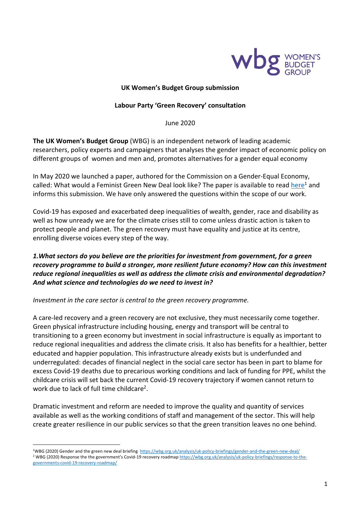

#### **UK Women's Budget Group submission**

#### **Labour Party 'Green Recovery' consultation**

June 2020

**The UK Women's Budget Group** (WBG) is an independent network of leading academic researchers, policy experts and campaigners that analyses the gender impact of economic policy on different groups of women and men and, promotes alternatives for a gender equal economy

In May 2020 we launched a paper, authored for the Commission on a Gender-Equal Economy, called: What would a Feminist Green New Deal look like? The paper is available to read here<sup>1</sup> and informs this submission. We have only answered the questions within the scope of our work.

Covid-19 has exposed and exacerbated deep inequalities of wealth, gender, race and disability as well as how unready we are for the climate crises still to come unless drastic action is taken to protect people and planet. The green recovery must have equality and justice at its centre, enrolling diverse voices every step of the way.

# *1.What sectors do you believe are the priorities for investment from government, for a green recovery programme to build a stronger, more resilient future economy? How can this investment reduce regional inequalities as well as address the climate crisis and environmental degradation? And what science and technologies do we need to invest in?*

*Investment in the care sector is central to the green recovery programme.* 

A care-led recovery and a green recovery are not exclusive, they must necessarily come together. Green physical infrastructure including housing, energy and transport will be central to transitioning to a green economy but investment in social infrastructure is equally as important to reduce regional inequalities and address the climate crisis. It also has benefits for a healthier, better educated and happier population. This infrastructure already exists but is underfunded and underregulated: decades of financial neglect in the social care sector has been in part to blame for excess Covid-19 deaths due to precarious working conditions and lack of funding for PPE, whilst the childcare crisis will set back the current Covid-19 recovery trajectory if women cannot return to work due to lack of full time childcare2.

Dramatic investment and reform are needed to improve the quality and quantity of services available as well as the working conditions of staff and management of the sector. This will help create greater resilience in our public services so that the green transition leaves no one behind.

<sup>1</sup>WBG (2020) Gender and the green new deal briefing https://wbg.org.uk/analysis/uk-policy-briefings/gender-and-the-green-new-deal/ <sup>2</sup> WBG (2020) Response the the government's Covid-19 recovery roadmap https://wbg.org.uk/analysis/uk-policy-briefings/response-to-thegovernments-covid-19-recovery-roadmap/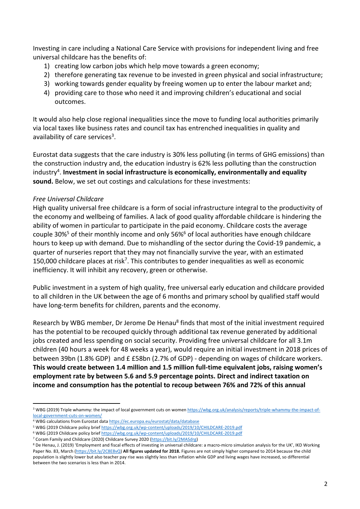Investing in care including a National Care Service with provisions for independent living and free universal childcare has the benefits of:

- 1) creating low carbon jobs which help move towards a green economy;
- 2) therefore generating tax revenue to be invested in green physical and social infrastructure;
- 3) working towards gender equality by freeing women up to enter the labour market and;
- 4) providing care to those who need it and improving children's educational and social outcomes.

It would also help close regional inequalities since the move to funding local authorities primarily via local taxes like business rates and council tax has entrenched inequalities in quality and availability of care services<sup>3</sup>.

Eurostat data suggests that the care industry is 30% less polluting (in terms of GHG emissions) than the construction industry and, the education industry is 62% less polluting than the construction industry<sup>4</sup>. Investment in social infrastructure is economically, environmentally and equality **sound.** Below, we set out costings and calculations for these investments:

#### *Free Universal Childcare*

High quality universal free childcare is a form of social infrastructure integral to the productivity of the economy and wellbeing of families. A lack of good quality affordable childcare is hindering the ability of women in particular to participate in the paid economy. Childcare costs the average couple 30%<sup>5</sup> of their monthly income and only 56%<sup>6</sup> of local authorities have enough childcare hours to keep up with demand. Due to mishandling of the sector during the Covid-19 pandemic, a quarter of nurseries report that they may not financially survive the year, with an estimated 150,000 childcare places at risk<sup>7</sup>. This contributes to gender inequalities as well as economic inefficiency. It will inhibit any recovery, green or otherwise.

Public investment in a system of high quality, free universal early education and childcare provided to all children in the UK between the age of 6 months and primary school by qualified staff would have long-term benefits for children, parents and the economy.

Research by WBG member, Dr Jerome De Henau<sup>8</sup> finds that most of the initial investment required has the potential to be recouped quickly through additional tax revenue generated by additional jobs created and less spending on social security. Providing free universal childcare for all 3.1m children (40 hours a week for 48 weeks a year), would require an initial investment in 2018 prices of between 39bn (1.8% GDP) and £ £58bn (2.7% of GDP) - depending on wages of childcare workers. **This would create between 1.4 million and 1.5 million full-time equivalent jobs, raising women's employment rate by between 5.6 and 5.9 percentage points. Direct and indirect taxation on income and consumption has the potential to recoup between 76% and 72% of this annual** 

<sup>&</sup>lt;sup>3</sup> WBG (2019) Triple whammy: the impact of local government cuts on women https://wbg.org.uk/analysis/reports/triple-whammy-the-impact-oflocal-government-cuts-on-women/

<sup>4</sup> WBG calculations from Eurostat data https://ec.europa.eu/eurostat/data/database

<sup>5</sup> WBG (2019 Childcare policy brief https://wbg.org.uk/wp-content/uploads/2019/10/CHILDCARE-2019.pdf

<sup>6</sup> WBG (2019 Childcare policy brief https://wbg.org.uk/wp-content/uploads/2019/10/CHILDCARE-2019.pdf

<sup>&</sup>lt;sup>7</sup> Coram Family and Childcare (2020) Childcare Survey 2020 (https://bit.ly/2MASdrg)<br><sup>8</sup> De Henau, J. (2019) 'Employment and fiscal effects of investing in universal childcare: a macro-micro simulation analysis for the UK' Paper No. 83, March (https://bit.ly/2C8E8vQ) **All figures updated for 2018.** Figures are not simply higher compared to 2014 because the child population is slightly lower but also teacher pay rise was slightly less than inflation while GDP and living wages have increased, so differential between the two scenarios is less than in 2014.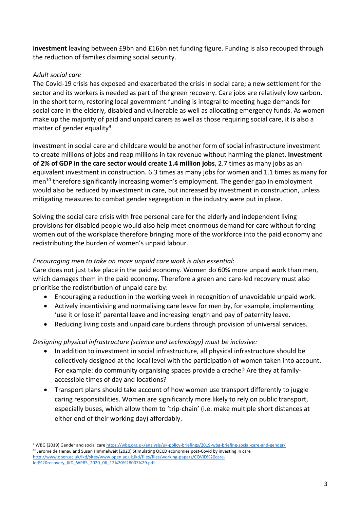**investment** leaving between £9bn and £16bn net funding figure. Funding is also recouped through the reduction of families claiming social security.

## *Adult social care*

The Covid-19 crisis has exposed and exacerbated the crisis in social care; a new settlement for the sector and its workers is needed as part of the green recovery. Care jobs are relatively low carbon. In the short term, restoring local government funding is integral to meeting huge demands for social care in the elderly, disabled and vulnerable as well as allocating emergency funds. As women make up the majority of paid and unpaid carers as well as those requiring social care, it is also a matter of gender equality<sup>9</sup>.

Investment in social care and childcare would be another form of social infrastructure investment to create millions of jobs and reap millions in tax revenue without harming the planet. **Investment of 2% of GDP in the care sector would create 1.4 million jobs**, 2.7 times as many jobs as an equivalent investment in construction. 6.3 times as many jobs for women and 1.1 times as many for men<sup>10</sup> therefore significantly increasing women's employment. The gender gap in employment would also be reduced by investment in care, but increased by investment in construction, unless mitigating measures to combat gender segregation in the industry were put in place.

Solving the social care crisis with free personal care for the elderly and independent living provisions for disabled people would also help meet enormous demand for care without forcing women out of the workplace therefore bringing more of the workforce into the paid economy and redistributing the burden of women's unpaid labour.

## *Encouraging men to take on more unpaid care work is also essential*:

Care does not just take place in the paid economy. Women do 60% more unpaid work than men, which damages them in the paid economy. Therefore a green and care-led recovery must also prioritise the redistribution of unpaid care by:

- Encouraging a reduction in the working week in recognition of unavoidable unpaid work.
- Actively incentivising and normalising care leave for men by, for example, implementing 'use it or lose it' parental leave and increasing length and pay of paternity leave.
- Reducing living costs and unpaid care burdens through provision of universal services.

## *Designing physical infrastructure (science and technology) must be inclusive:*

- In addition to investment in social infrastructure, all physical infrastructure should be collectively designed at the local level with the participation of women taken into account. For example: do community organising spaces provide a creche? Are they at familyaccessible times of day and locations?
- Transport plans should take account of how women use transport differently to juggle caring responsibilities. Women are significantly more likely to rely on public transport, especially buses, which allow them to 'trip-chain' (i.e. make multiple short distances at either end of their working day) affordably.

<sup>9</sup> WBG (2019) Gender and social care https://wbg.org.uk/analysis/uk-policy-briefings/2019-wbg-briefing-social-care-and-gender/ <sup>10</sup> Jerome de Henau and Susan Himmelweit (2020) Stimulating OECD economies post-Covid by investing in care http://www.open.ac.uk/ikd/sites/www.open.ac.uk.ikd/files/files/working-papers/COVID%20careled%20recovery\_IKD\_WP85\_2020\_06\_12%20%28003%29.pdf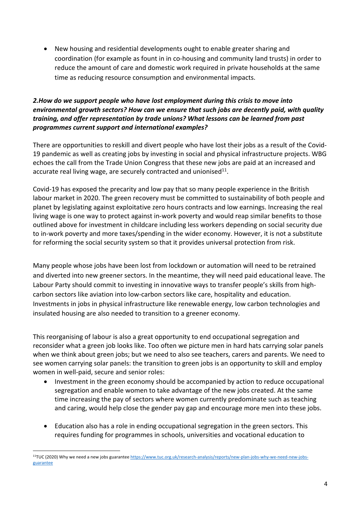• New housing and residential developments ought to enable greater sharing and coordination (for example as fount in in co-housing and community land trusts) in order to reduce the amount of care and domestic work required in private households at the same time as reducing resource consumption and environmental impacts.

# *2.How do we support people who have lost employment during this crisis to move into environmental growth sectors? How can we ensure that such jobs are decently paid, with quality training, and offer representation by trade unions? What lessons can be learned from past programmes current support and international examples?*

There are opportunities to reskill and divert people who have lost their jobs as a result of the Covid-19 pandemic as well as creating jobs by investing in social and physical infrastructure projects. WBG echoes the call from the Trade Union Congress that these new jobs are paid at an increased and accurate real living wage, are securely contracted and unionised $11$ .

Covid-19 has exposed the precarity and low pay that so many people experience in the British labour market in 2020. The green recovery must be committed to sustainability of both people and planet by legislating against exploitative zero hours contracts and low earnings. Increasing the real living wage is one way to protect against in-work poverty and would reap similar benefits to those outlined above for investment in childcare including less workers depending on social security due to in-work poverty and more taxes/spending in the wider economy. However, it is not a substitute for reforming the social security system so that it provides universal protection from risk.

Many people whose jobs have been lost from lockdown or automation will need to be retrained and diverted into new greener sectors. In the meantime, they will need paid educational leave. The Labour Party should commit to investing in innovative ways to transfer people's skills from highcarbon sectors like aviation into low-carbon sectors like care, hospitality and education. Investments in jobs in physical infrastructure like renewable energy, low carbon technologies and insulated housing are also needed to transition to a greener economy.

This reorganising of labour is also a great opportunity to end occupational segregation and reconsider what a green job looks like. Too often we picture men in hard hats carrying solar panels when we think about green jobs; but we need to also see teachers, carers and parents. We need to see women carrying solar panels: the transition to green jobs is an opportunity to skill and employ women in well-paid, secure and senior roles:

- Investment in the green economy should be accompanied by action to reduce occupational segregation and enable women to take advantage of the new jobs created. At the same time increasing the pay of sectors where women currently predominate such as teaching and caring, would help close the gender pay gap and encourage more men into these jobs.
- Education also has a role in ending occupational segregation in the green sectors. This requires funding for programmes in schools, universities and vocational education to

<sup>11</sup>TUC (2020) Why we need a new jobs guarantee https://www.tuc.org.uk/research-analysis/reports/new-plan-jobs-why-we-need-new-jobsguarantee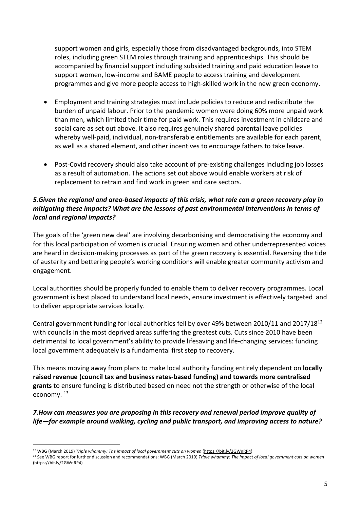support women and girls, especially those from disadvantaged backgrounds, into STEM roles, including green STEM roles through training and apprenticeships. This should be accompanied by financial support including subsided training and paid education leave to support women, low-income and BAME people to access training and development programmes and give more people access to high-skilled work in the new green economy.

- Employment and training strategies must include policies to reduce and redistribute the burden of unpaid labour. Prior to the pandemic women were doing 60% more unpaid work than men, which limited their time for paid work. This requires investment in childcare and social care as set out above. It also requires genuinely shared parental leave policies whereby well-paid, individual, non-transferable entitlements are available for each parent, as well as a shared element, and other incentives to encourage fathers to take leave.
- Post-Covid recovery should also take account of pre-existing challenges including job losses as a result of automation. The actions set out above would enable workers at risk of replacement to retrain and find work in green and care sectors.

## *5.Given the regional and area-based impacts of this crisis, what role can a green recovery play in mitigating these impacts? What are the lessons of past environmental interventions in terms of local and regional impacts?*

The goals of the 'green new deal' are involving decarbonising and democratising the economy and for this local participation of women is crucial. Ensuring women and other underrepresented voices are heard in decision-making processes as part of the green recovery is essential. Reversing the tide of austerity and bettering people's working conditions will enable greater community activism and engagement.

Local authorities should be properly funded to enable them to deliver recovery programmes. Local government is best placed to understand local needs, ensure investment is effectively targeted and to deliver appropriate services locally.

Central government funding for local authorities fell by over 49% between 2010/11 and 2017/1812 with councils in the most deprived areas suffering the greatest cuts. Cuts since 2010 have been detrimental to local government's ability to provide lifesaving and life-changing services: funding local government adequately is a fundamental first step to recovery.

This means moving away from plans to make local authority funding entirely dependent on **locally raised revenue (council tax and business rates-based funding) and towards more centralised grants** to ensure funding is distributed based on need not the strength or otherwise of the local economy.<sup>13</sup>

*7.How can measures you are proposing in this recovery and renewal period improve quality of life—for example around walking, cycling and public transport, and improving access to nature?*

<sup>&</sup>lt;sup>12</sup> WBG (March 2019) *Triple whammy: The impact of local government cuts on women* (https://bit.ly/2GWnRP4)<br><sup>13</sup> See WBG report for further discussion and recommendations: WBG (March 2019) *Triple whammy: The impact of lo* (https://bit.ly/2GWnRP4)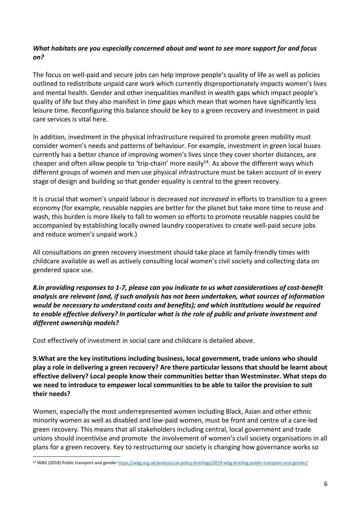# *What habitats are you especially concerned about and want to see more support for and focus on?*

The focus on well-paid and secure jobs can help improve people's quality of life as well as policies outlined to redistribute unpaid care work which currently disproportionately impacts women's lives and mental health. Gender and other inequalities manifest in wealth gaps which impact people's quality of life but they also manifest in *time* gaps which mean that women have significantly less leisure time. Reconfiguring this balance should be key to a green recovery and investment in paid care services is vital here.

In addition, investment in the physical infrastructure required to promote green mobility must consider women's needs and patterns of behaviour. For example, investment in green local buses currently has a better chance of improving women's lives since they cover shorter distances, are cheaper and often allow people to 'trip-chain' more easily<sup>14</sup>. As above the different ways which different groups of women and men use physical infrastructure must be taken account of in every stage of design and building so that gender equality is central to the green recovery.

It is crucial that women's unpaid labour is decreased *not increased* in efforts to transition to a green economy (for example, reusable nappies are better for the planet but take more time to reuse and wash, this burden is more likely to fall to women so efforts to promote reusable nappies could be accompanied by establishing locally owned laundry cooperatives to create well-paid secure jobs and reduce women's unpaid work.)

All consultations on green recovery investment should take place at family-friendly times with childcare available as well as actively consulting local women's civil society and collecting data on gendered space use.

*8.In providing responses to 1-7, please can you indicate to us what considerations of cost-benefit analysis are relevant (and, if such analysis has not been undertaken, what sources of information would be necessary to understand costs and benefits); and which institutions would be required to enable effective delivery? In particular what is the role of public and private investment and different ownership models?*

Cost effectively of investment in social care and childcare is detailed above.

**9.What are the key institutions including business, local government, trade unions who should play a role in delivering a green recovery? Are there particular lessons that should be learnt about effective delivery? Local people know their communities better than Westminster. What steps do we need to introduce to empower local communities to be able to tailor the provision to suit their needs?** 

Women, especially the most underrepresented women including Black, Asian and other ethnic minority women as well as disabled and low-paid women, must be front and centre of a care-led green recovery. This means that all stakeholders including central, local government and trade unions should incentivise and promote the involvement of women's civil society organisations in all plans for a green recovery. Key to restructuring our society is changing how governance works so

<sup>&</sup>lt;sup>14</sup> WBG (2018) Public transport and gender https://wbg.org.uk/analysis/uk-policy-briefings/2019-wbg-briefing-public-transport-and-gender/